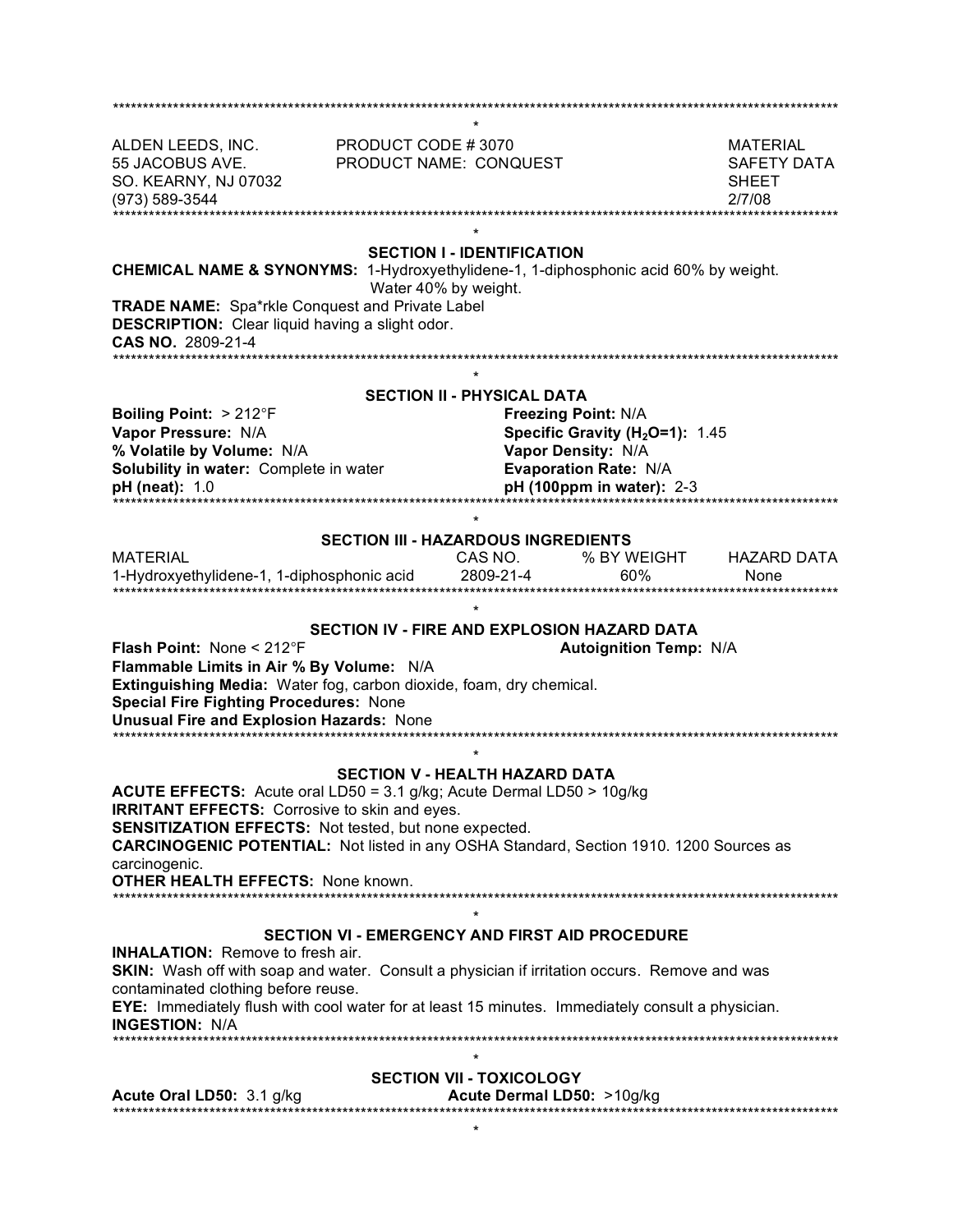| ALDEN LEEDS, INC.<br>55 JACOBUS AVE.<br>SO. KEARNY, NJ 07032<br>(973) 589-3544                                                                                                                                                                                                                                                                                | PRODUCT CODE #3070<br>PRODUCT NAME: CONQUEST | ********************* |                                                                                                                                                                | <b>MATERIAL</b><br>SAFETY DATA<br><b>SHEET</b><br>2/7/08 |
|---------------------------------------------------------------------------------------------------------------------------------------------------------------------------------------------------------------------------------------------------------------------------------------------------------------------------------------------------------------|----------------------------------------------|-----------------------|----------------------------------------------------------------------------------------------------------------------------------------------------------------|----------------------------------------------------------|
| <b>SECTION I - IDENTIFICATION</b><br><b>CHEMICAL NAME &amp; SYNONYMS:</b> 1-Hydroxyethylidene-1, 1-diphosphonic acid 60% by weight.<br>Water 40% by weight.<br><b>TRADE NAME:</b> Spa*rkle Conquest and Private Label<br><b>DESCRIPTION:</b> Clear liquid having a slight odor.<br><b>CAS NO. 2809-21-4</b><br>*******************                            |                                              |                       |                                                                                                                                                                |                                                          |
|                                                                                                                                                                                                                                                                                                                                                               |                                              |                       |                                                                                                                                                                |                                                          |
| Boiling Point: > 212°F<br>Vapor Pressure: N/A<br>% Volatile by Volume: N/A<br>Solubility in water: Complete in water<br><b>pH</b> (neat): 1.0                                                                                                                                                                                                                 | <b>SECTION II - PHYSICAL DATA</b>            |                       | <b>Freezing Point: N/A</b><br>Specific Gravity (H <sub>2</sub> O=1): 1.45<br>Vapor Density: N/A<br><b>Evaporation Rate: N/A</b><br>$pH(100ppm)$ in water): 2-3 |                                                          |
| <b>SECTION III - HAZARDOUS INGREDIENTS</b>                                                                                                                                                                                                                                                                                                                    |                                              |                       |                                                                                                                                                                |                                                          |
| <b>MATERIAL</b><br>1-Hydroxyethylidene-1, 1-diphosphonic acid                                                                                                                                                                                                                                                                                                 |                                              | CAS NO.<br>2809-21-4  | % BY WEIGHT<br>60%                                                                                                                                             | <b>HAZARD DATA</b><br>None<br>************************   |
|                                                                                                                                                                                                                                                                                                                                                               |                                              |                       |                                                                                                                                                                |                                                          |
| SECTION IV - FIRE AND EXPLOSION HAZARD DATA<br><b>Flash Point: None &lt; 212 F</b><br><b>Autoignition Temp: N/A</b><br>Flammable Limits in Air % By Volume: N/A<br>Extinguishing Media: Water fog, carbon dioxide, foam, dry chemical.<br><b>Special Fire Fighting Procedures: None</b><br><b>Unusual Fire and Explosion Hazards: None</b>                    |                                              |                       |                                                                                                                                                                |                                                          |
| <b>SECTION V - HEALTH HAZARD DATA</b>                                                                                                                                                                                                                                                                                                                         |                                              |                       |                                                                                                                                                                |                                                          |
| ACUTE EFFECTS: Acute oral LD50 = 3.1 g/kg; Acute Dermal LD50 > 10g/kg<br><b>IRRITANT EFFECTS:</b> Corrosive to skin and eyes.<br><b>SENSITIZATION EFFECTS:</b> Not tested, but none expected.<br><b>CARCINOGENIC POTENTIAL:</b> Not listed in any OSHA Standard, Section 1910. 1200 Sources as<br>carcinogenic.<br><b>OTHER HEALTH EFFECTS: None known.</b>   |                                              |                       |                                                                                                                                                                |                                                          |
|                                                                                                                                                                                                                                                                                                                                                               |                                              |                       |                                                                                                                                                                |                                                          |
| SECTION VI - EMERGENCY AND FIRST AID PROCEDURE<br><b>INHALATION:</b> Remove to fresh air.<br>SKIN: Wash off with soap and water. Consult a physician if irritation occurs. Remove and was<br>contaminated clothing before reuse.<br>EYE: Immediately flush with cool water for at least 15 minutes. Immediately consult a physician.<br><b>INGESTION: N/A</b> |                                              |                       |                                                                                                                                                                |                                                          |
| $^\star$<br><b>SECTION VII - TOXICOLOGY</b>                                                                                                                                                                                                                                                                                                                   |                                              |                       |                                                                                                                                                                |                                                          |
| Acute Dermal LD50: >10g/kg<br>Acute Oral LD50: 3.1 g/kg                                                                                                                                                                                                                                                                                                       |                                              |                       |                                                                                                                                                                |                                                          |
| *                                                                                                                                                                                                                                                                                                                                                             |                                              |                       |                                                                                                                                                                |                                                          |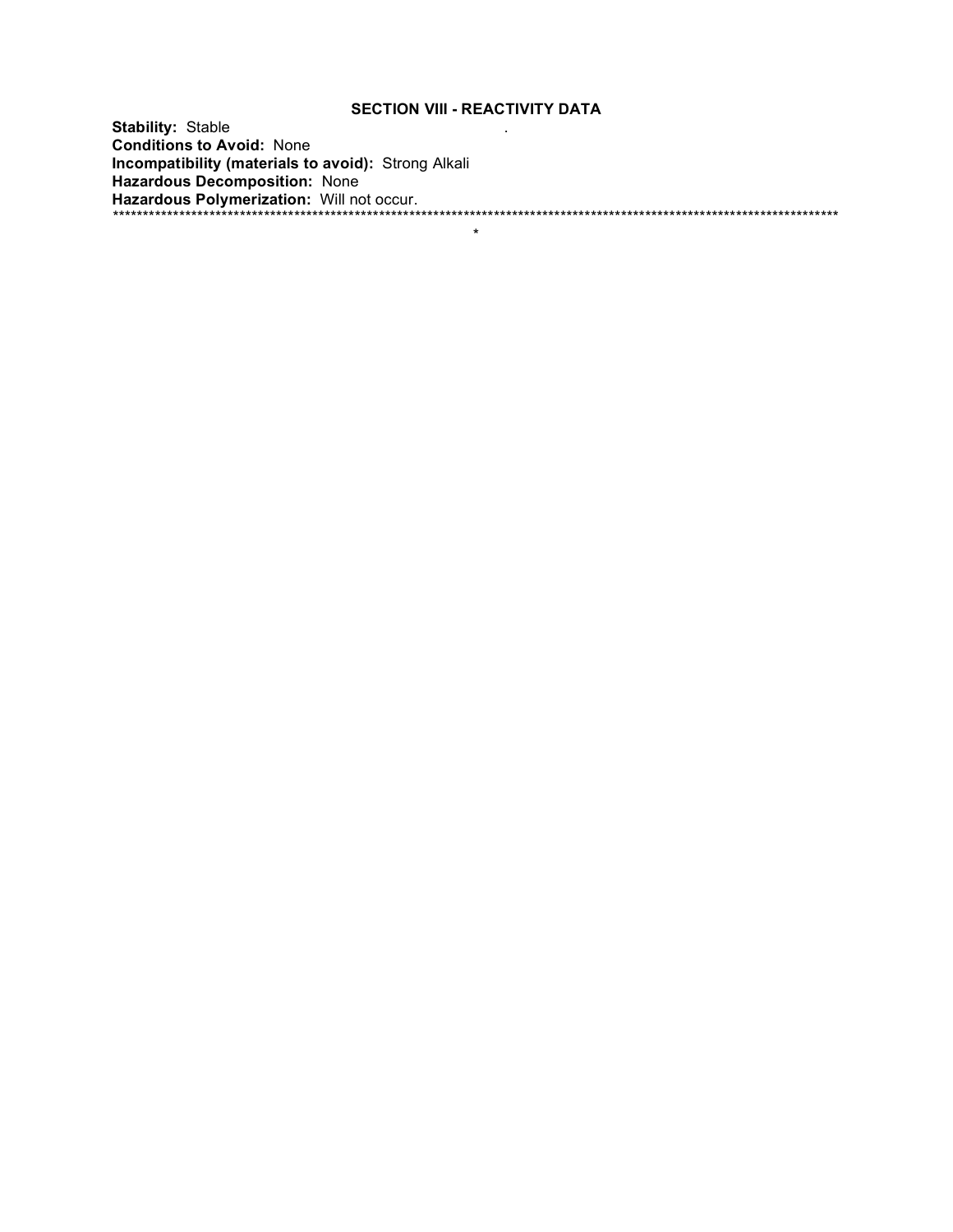## **SECTION VIII - REACTIVITY DATA**

**Stability: Stable Conditions to Avoid: None** 

 $\star$